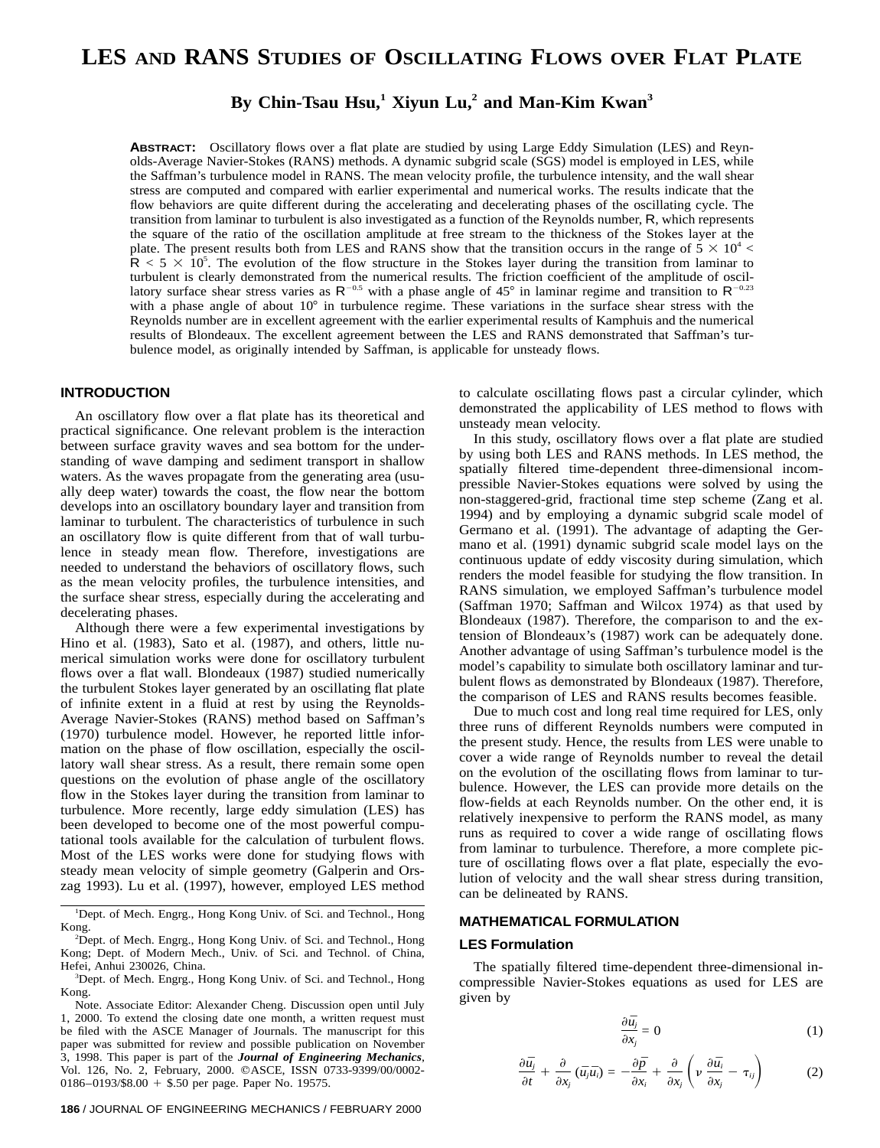# **LES AND RANS STUDIES OF OSCILLATING FLOWS OVER FLAT PLATE**

# **By Chin-Tsau Hsu,1 Xiyun Lu,2 and Man-Kim Kwan<sup>3</sup>**

**ABSTRACT:** Oscillatory flows over a flat plate are studied by using Large Eddy Simulation (LES) and Reynolds-Average Navier-Stokes (RANS) methods. A dynamic subgrid scale (SGS) model is employed in LES, while the Saffman's turbulence model in RANS. The mean velocity profile, the turbulence intensity, and the wall shear stress are computed and compared with earlier experimental and numerical works. The results indicate that the flow behaviors are quite different during the accelerating and decelerating phases of the oscillating cycle. The transition from laminar to turbulent is also investigated as a function of the Reynolds number, R, which represents the square of the ratio of the oscillation amplitude at free stream to the thickness of the Stokes layer at the plate. The present results both from LES and RANS show that the transition occurs in the range of  $5 \times 10^4$  <  $R < 5 \times 10^5$ . The evolution of the flow structure in the Stokes layer during the transition from laminar to turbulent is clearly demonstrated from the numerical results. The friction coefficient of the amplitude of oscillatory surface shear stress varies as  $R^{-0.5}$  with a phase angle of 45° in laminar regime and transition to  $R^{-0.23}$ with a phase angle of about  $10^{\circ}$  in turbulence regime. These variations in the surface shear stress with the Reynolds number are in excellent agreement with the earlier experimental results of Kamphuis and the numerical results of Blondeaux. The excellent agreement between the LES and RANS demonstrated that Saffman's turbulence model, as originally intended by Saffman, is applicable for unsteady flows.

### **INTRODUCTION**

An oscillatory flow over a flat plate has its theoretical and practical significance. One relevant problem is the interaction between surface gravity waves and sea bottom for the understanding of wave damping and sediment transport in shallow waters. As the waves propagate from the generating area (usually deep water) towards the coast, the flow near the bottom develops into an oscillatory boundary layer and transition from laminar to turbulent. The characteristics of turbulence in such an oscillatory flow is quite different from that of wall turbulence in steady mean flow. Therefore, investigations are needed to understand the behaviors of oscillatory flows, such as the mean velocity profiles, the turbulence intensities, and the surface shear stress, especially during the accelerating and decelerating phases.

Although there were a few experimental investigations by Hino et al. (1983), Sato et al. (1987), and others, little numerical simulation works were done for oscillatory turbulent flows over a flat wall. Blondeaux (1987) studied numerically the turbulent Stokes layer generated by an oscillating flat plate of infinite extent in a fluid at rest by using the Reynolds-Average Navier-Stokes (RANS) method based on Saffman's (1970) turbulence model. However, he reported little information on the phase of flow oscillation, especially the oscillatory wall shear stress. As a result, there remain some open questions on the evolution of phase angle of the oscillatory flow in the Stokes layer during the transition from laminar to turbulence. More recently, large eddy simulation (LES) has been developed to become one of the most powerful computational tools available for the calculation of turbulent flows. Most of the LES works were done for studying flows with steady mean velocity of simple geometry (Galperin and Orszag 1993). Lu et al. (1997), however, employed LES method

<sup>1</sup>Dept. of Mech. Engrg., Hong Kong Univ. of Sci. and Technol., Hong Kong.

<sup>3</sup>Dept. of Mech. Engrg., Hong Kong Univ. of Sci. and Technol., Hong Kong.

Note. Associate Editor: Alexander Cheng. Discussion open until July 1, 2000. To extend the closing date one month, a written request must be filed with the ASCE Manager of Journals. The manuscript for this paper was submitted for review and possible publication on November 3, 1998. This paper is part of the *Journal of Engineering Mechanics*, Vol. 126, No. 2, February, 2000. ©ASCE, ISSN 0733-9399/00/0002-0186–0193/\$8.00 + \$.50 per page. Paper No. 19575.

**186** / JOURNAL OF ENGINEERING MECHANICS / FEBRUARY 2000

to calculate oscillating flows past a circular cylinder, which demonstrated the applicability of LES method to flows with unsteady mean velocity.

In this study, oscillatory flows over a flat plate are studied by using both LES and RANS methods. In LES method, the spatially filtered time-dependent three-dimensional incompressible Navier-Stokes equations were solved by using the non-staggered-grid, fractional time step scheme (Zang et al. 1994) and by employing a dynamic subgrid scale model of Germano et al. (1991). The advantage of adapting the Germano et al. (1991) dynamic subgrid scale model lays on the continuous update of eddy viscosity during simulation, which renders the model feasible for studying the flow transition. In RANS simulation, we employed Saffman's turbulence model (Saffman 1970; Saffman and Wilcox 1974) as that used by Blondeaux (1987). Therefore, the comparison to and the extension of Blondeaux's (1987) work can be adequately done. Another advantage of using Saffman's turbulence model is the model's capability to simulate both oscillatory laminar and turbulent flows as demonstrated by Blondeaux (1987). Therefore, the comparison of LES and RANS results becomes feasible.

Due to much cost and long real time required for LES, only three runs of different Reynolds numbers were computed in the present study. Hence, the results from LES were unable to cover a wide range of Reynolds number to reveal the detail on the evolution of the oscillating flows from laminar to turbulence. However, the LES can provide more details on the flow-fields at each Reynolds number. On the other end, it is relatively inexpensive to perform the RANS model, as many runs as required to cover a wide range of oscillating flows from laminar to turbulence. Therefore, a more complete picture of oscillating flows over a flat plate, especially the evolution of velocity and the wall shear stress during transition, can be delineated by RANS.

#### **MATHEMATICAL FORMULATION**

#### **LES Formulation**

The spatially filtered time-dependent three-dimensional incompressible Navier-Stokes equations as used for LES are given by

$$
\frac{\partial \bar{u}_j}{\partial x_j} = 0 \tag{1}
$$

$$
\frac{\partial \bar{u}_j}{\partial t} + \frac{\partial}{\partial x_j} (\bar{u}_j \bar{u}_i) = -\frac{\partial \bar{p}}{\partial x_i} + \frac{\partial}{\partial x_j} \left( \nu \frac{\partial \bar{u}_i}{\partial x_j} - \tau_{ij} \right) \tag{2}
$$

<sup>&</sup>lt;sup>2</sup>Dept. of Mech. Engrg., Hong Kong Univ. of Sci. and Technol., Hong Kong; Dept. of Modern Mech., Univ. of Sci. and Technol. of China, Hefei, Anhui 230026, China.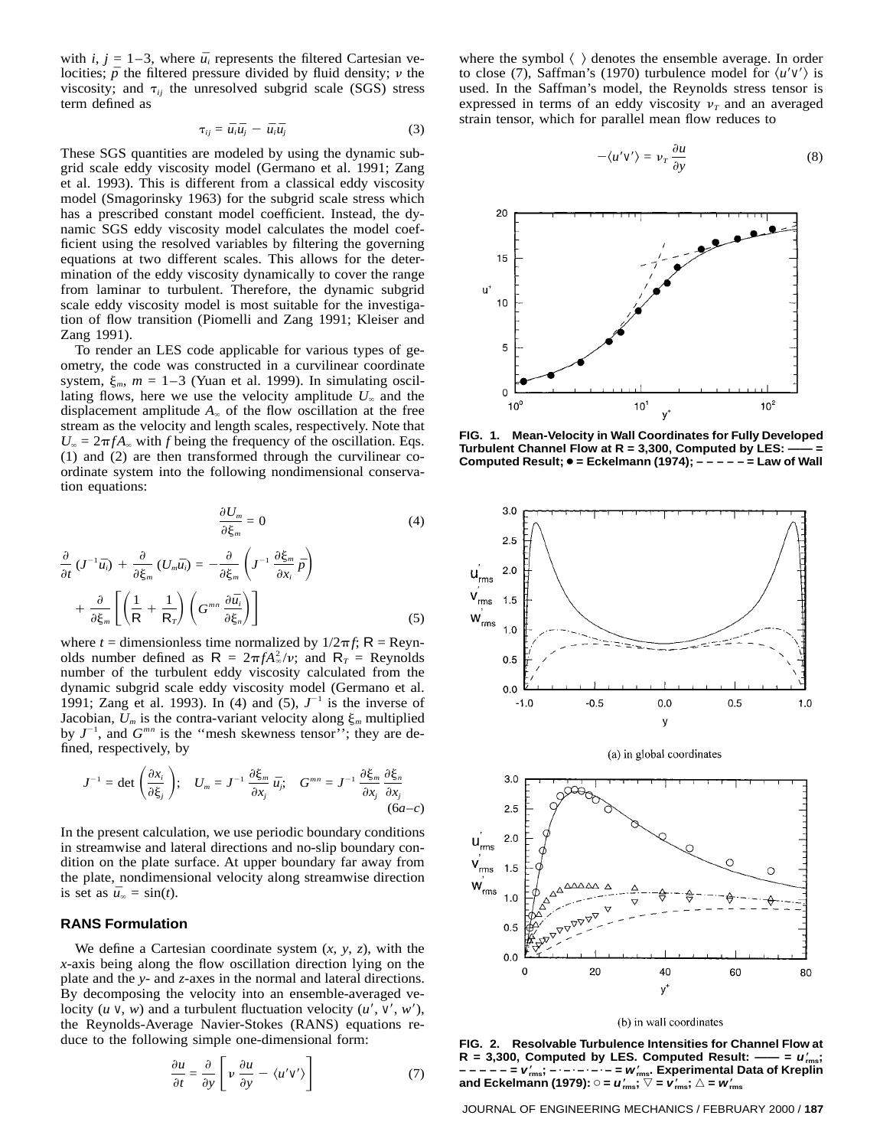with  $i, j = 1-3$ , where  $\bar{u}_i$  represents the filtered Cartesian velocities;  $\bar{p}$  the filtered pressure divided by fluid density;  $\nu$  the viscosity; and  $\tau_{ij}$  the unresolved subgrid scale (SGS) stress term defined as

$$
\tau_{ij} = \bar{u}_i \bar{u}_j - \bar{u}_i \bar{u}_j \tag{3}
$$

These SGS quantities are modeled by using the dynamic subgrid scale eddy viscosity model (Germano et al. 1991; Zang et al. 1993). This is different from a classical eddy viscosity model (Smagorinsky 1963) for the subgrid scale stress which has a prescribed constant model coefficient. Instead, the dynamic SGS eddy viscosity model calculates the model coefficient using the resolved variables by filtering the governing equations at two different scales. This allows for the determination of the eddy viscosity dynamically to cover the range from laminar to turbulent. Therefore, the dynamic subgrid scale eddy viscosity model is most suitable for the investigation of flow transition (Piomelli and Zang 1991; Kleiser and Zang 1991).

To render an LES code applicable for various types of geometry, the code was constructed in a curvilinear coordinate system,  $\xi_m$ ,  $m = 1-3$  (Yuan et al. 1999). In simulating oscillating flows, here we use the velocity amplitude  $U_\infty$  and the displacement amplitude  $A_{\infty}$  of the flow oscillation at the free stream as the velocity and length scales, respectively. Note that  $U_{\infty} = 2\pi f A_{\infty}$  with *f* being the frequency of the oscillation. Eqs. (1) and (2) are then transformed through the curvilinear coordinate system into the following nondimensional conservation equations:

 $U<sub>T</sub>$ 

$$
\frac{\partial U_m}{\partial \xi_m} = 0 \tag{4}
$$
\n
$$
\frac{\partial}{\partial t} (J^{-1}\bar{u}_i) + \frac{\partial}{\partial \xi_m} (U_m \bar{u}_i) = -\frac{\partial}{\partial \xi_m} \left( J^{-1} \frac{\partial \xi_m}{\partial x_i} \bar{p} \right)
$$
\n
$$
+ \frac{\partial}{\partial \xi_m} \left[ \left( \frac{1}{R} + \frac{1}{R_T} \right) \left( G^{mn} \frac{\partial \bar{u}_i}{\partial \xi_n} \right) \right] \tag{5}
$$

where  $t =$  dimensionless time normalized by  $1/2\pi f$ ; R = Reynolds number defined as  $R = 2\pi fA_{\infty}^2/v$ ; and  $R_T =$  Reynolds number of the turbulent eddy viscosity calculated from the dynamic subgrid scale eddy viscosity model (Germano et al. 1991; Zang et al. 1993). In (4) and (5),  $J^{-1}$  is the inverse of Jacobian,  $U_m$  is the contra-variant velocity along  $\xi_m$  multiplied by  $J^{-1}$ , and  $G^{mn}$  is the "mesh skewness tensor"; they are defined, respectively, by

$$
J^{-1} = \det \left( \frac{\partial x_i}{\partial \xi_j} \right); \quad U_m = J^{-1} \frac{\partial \xi_m}{\partial x_j} \bar{u}_j; \quad G^{mn} = J^{-1} \frac{\partial \xi_m}{\partial x_j} \frac{\partial \xi_n}{\partial x_j}
$$
\n
$$
(6a-c)
$$

In the present calculation, we use periodic boundary conditions in streamwise and lateral directions and no-slip boundary condition on the plate surface. At upper boundary far away from the plate, nondimensional velocity along streamwise direction is set as  $\bar{u}_\infty = \sin(t)$ .

## **RANS Formulation**

We define a Cartesian coordinate system (*x*, *y*, *z*), with the *x*-axis being along the flow oscillation direction lying on the plate and the *y*- and *z*-axes in the normal and lateral directions. By decomposing the velocity into an ensemble-averaged velocity (*u v*, *w*) and a turbulent fluctuation velocity (*u'*, *v'*, *w'*), the Reynolds-Average Navier-Stokes (RANS) equations reduce to the following simple one-dimensional form:

$$
\frac{\partial u}{\partial t} = \frac{\partial}{\partial y} \left[ v \frac{\partial u}{\partial y} - \langle u'v' \rangle \right]
$$
 (7)

where the symbol  $\langle \ \rangle$  denotes the ensemble average. In order to close (7), Saffman's (1970) turbulence model for  $\langle u'v' \rangle$  is used. In the Saffman's model, the Reynolds stress tensor is expressed in terms of an eddy viscosity  $v_T$  and an averaged strain tensor, which for parallel mean flow reduces to

$$
-\langle u'v'\rangle = v_T \frac{\partial u}{\partial y} \tag{8}
$$



**FIG. 1. Mean-Velocity in Wall Coordinates for Fully Developed** Turbulent Channel Flow at R = 3,300, Computed by LES: -**Computed Result;** ● **= Eckelmann (1974); – – – – – = Law of Wall**



(a) in global coordinates



(b) in wall coordinates

**FIG. 2. Resolvable Turbulence Intensities for Channel Flow at**  $R = 3,300$ , Computed by LES. Computed Result:  $-\frac{u_{\text{rms}}}{h}$ ; **−−−=**  $V_{\text{rms}}$ **; −** $\cdot$ **−** $\cdot$ **−** $\cdot$  **− =**  $W_{\text{rms}}$ **. Experimental Data of Kreplin and Eckelmann (1979): ○ =**  $\boldsymbol{u}'_{\mathsf{rms}}$ **;**  $\triangledown$  **=**  $\boldsymbol{v}'_{\mathsf{rms}}$ **;**  $\triangle$  **=**  $\boldsymbol{w}'_{\mathsf{rms}}$ 

JOURNAL OF ENGINEERING MECHANICS / FEBRUARY 2000 / **187**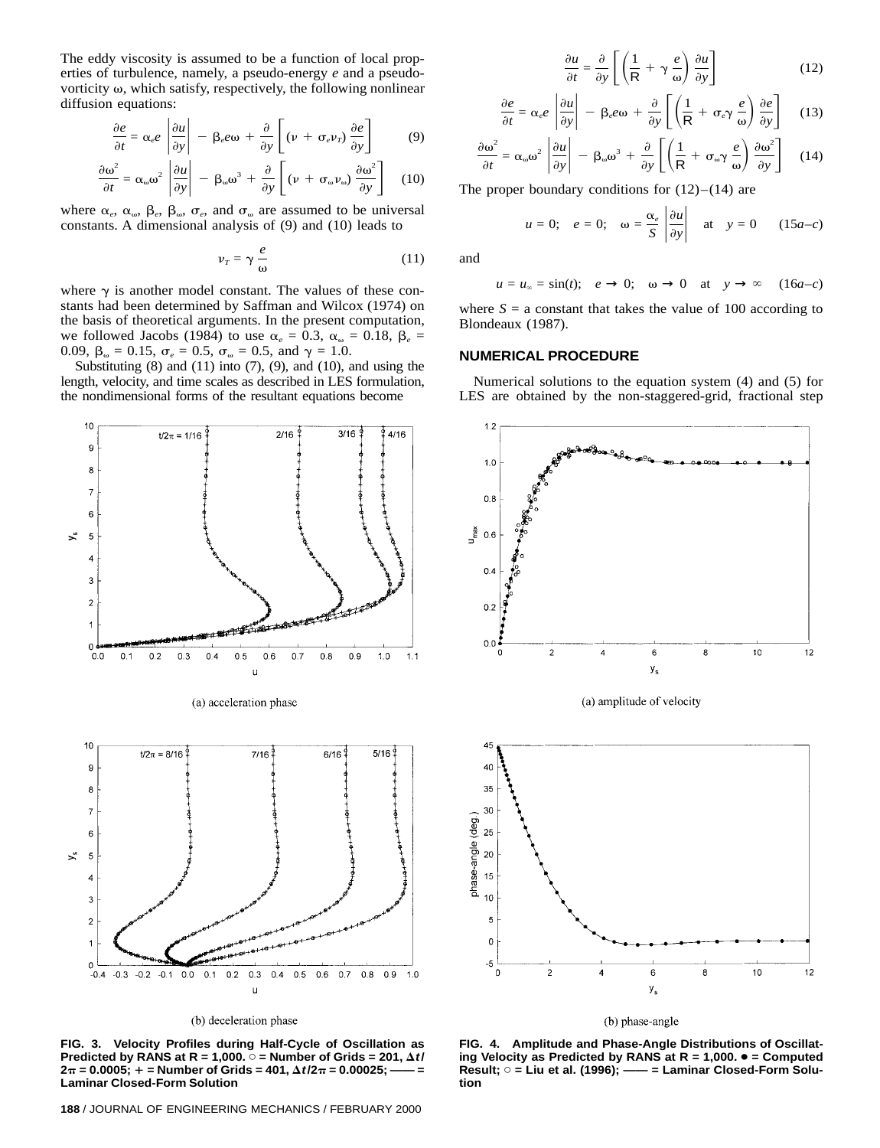The eddy viscosity is assumed to be a function of local properties of turbulence, namely, a pseudo-energy *e* and a pseudovorticity  $\omega$ , which satisfy, respectively, the following nonlinear diffusion equations:

$$
\frac{\partial e}{\partial t} = \alpha_e e \left| \frac{\partial u}{\partial y} \right| - \beta_e e \omega + \frac{\partial}{\partial y} \left[ \left( v + \sigma_e v_T \right) \frac{\partial e}{\partial y} \right] \tag{9}
$$

$$
\frac{\partial \omega^2}{\partial t} = \alpha_{\omega} \omega^2 \left| \frac{\partial u}{\partial y} \right| - \beta_{\omega} \omega^3 + \frac{\partial}{\partial y} \left[ (\nu + \sigma_{\omega} \nu_{\omega}) \frac{\partial \omega^2}{\partial y} \right] \quad (10)
$$

where  $\alpha_e$ ,  $\alpha_\omega$ ,  $\beta_e$ ,  $\beta_\omega$ ,  $\sigma_e$ , and  $\sigma_\omega$  are assumed to be universal constants. A dimensional analysis of (9) and (10) leads to

$$
\nu_T = \gamma \frac{e}{\omega} \tag{11}
$$

where  $\gamma$  is another model constant. The values of these constants had been determined by Saffman and Wilcox (1974) on the basis of theoretical arguments. In the present computation, we followed Jacobs (1984) to use  $\alpha_e = 0.3$ ,  $\alpha_w = 0.18$ ,  $\beta_e =$ 0.09,  $\beta_{\omega} = 0.15$ ,  $\sigma_e = 0.5$ ,  $\sigma_{\omega} = 0.5$ , and  $\gamma = 1.0$ .

Substituting  $(8)$  and  $(11)$  into  $(7)$ ,  $(9)$ , and  $(10)$ , and using the length, velocity, and time scales as described in LES formulation, the nondimensional forms of the resultant equations become





**FIG. 3. Velocity Profiles during Half-Cycle of Oscillation as Predicted by RANS at R = 1,000.**  $\circ$  = Number of Grids = 201,  $\Delta t$ /  $2\pi = 0.0005$ ;  $+$  = Number of Grids = 401,  $\Delta t/2\pi = 0.00025$ ; -**Laminar Closed-Form Solution**

**188** / JOURNAL OF ENGINEERING MECHANICS / FEBRUARY 2000

$$
\frac{\partial u}{\partial t} = \frac{\partial}{\partial y} \left[ \left( \frac{1}{R} + \gamma \frac{e}{\omega} \right) \frac{\partial u}{\partial y} \right]
$$
(12)

$$
\frac{\partial e}{\partial t} = \alpha_e e \left| \frac{\partial u}{\partial y} \right| - \beta_e e \omega + \frac{\partial}{\partial y} \left[ \left( \frac{1}{R} + \sigma_e \gamma \frac{e}{\omega} \right) \frac{\partial e}{\partial y} \right] \quad (13)
$$

$$
\frac{\partial \omega^2}{\partial t} = \alpha_{\omega} \omega^2 \left| \frac{\partial u}{\partial y} \right| - \beta_{\omega} \omega^3 + \frac{\partial}{\partial y} \left[ \left( \frac{1}{R} + \sigma_{\omega} \gamma \frac{e}{\omega} \right) \frac{\partial \omega^2}{\partial y} \right]
$$
 (14)

The proper boundary conditions for  $(12)$ – $(14)$  are

$$
u = 0;
$$
  $e = 0;$   $\omega = \frac{\alpha_e}{S} \left| \frac{\partial u}{\partial y} \right|$  at  $y = 0$  (15*a*-*c*)

and

$$
u = u_{\infty} = \sin(t); \quad e \to 0; \quad \omega \to 0 \quad \text{at} \quad y \to \infty \quad (16a-c)
$$

where  $S = a$  constant that takes the value of 100 according to Blondeaux (1987).

### **NUMERICAL PROCEDURE**

Numerical solutions to the equation system (4) and (5) for LES are obtained by the non-staggered-grid, fractional step



(a) amplitude of velocity



(b) phase-angle

**FIG. 4. Amplitude and Phase-Angle Distributions of Oscillating Velocity as Predicted by RANS at R = 1,000.** ● **= Computed Result;** C **= Liu et al. (1996); —— = Laminar Closed-Form Solution**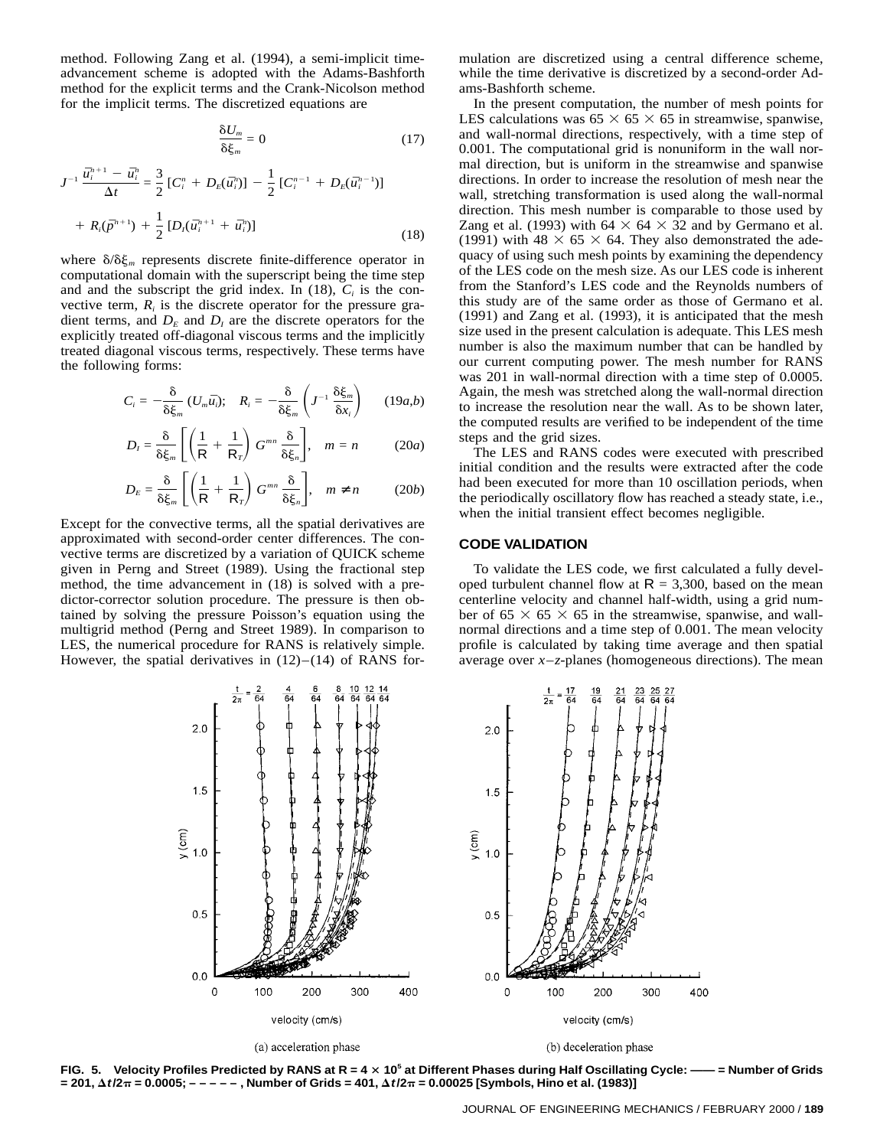method. Following Zang et al. (1994), a semi-implicit timeadvancement scheme is adopted with the Adams-Bashforth method for the explicit terms and the Crank-Nicolson method for the implicit terms. The discretized equations are

$$
\frac{\delta U_m}{\delta \xi_m} = 0 \tag{17}
$$

$$
J^{-1} \frac{\bar{u}_i^{n+1} - \bar{u}_i^n}{\Delta t} = \frac{3}{2} \left[ C_i^n + D_E(\bar{u}_i^n) \right] - \frac{1}{2} \left[ C_i^{n-1} + D_E(\bar{u}_i^{n-1}) \right] + R_i(\bar{p}^{n+1}) + \frac{1}{2} \left[ D_i(\bar{u}_i^{n+1} + \bar{u}_i^n) \right]
$$
(18)

where  $\delta/\delta \xi_m$  represents discrete finite-difference operator in computational domain with the superscript being the time step and and the subscript the grid index. In  $(18)$ ,  $C_i$  is the convective term,  $R_i$  is the discrete operator for the pressure gradient terms, and  $D<sub>E</sub>$  and  $D<sub>I</sub>$  are the discrete operators for the explicitly treated off-diagonal viscous terms and the implicitly treated diagonal viscous terms, respectively. These terms have the following forms:

$$
C_i = -\frac{\delta}{\delta \xi_m} \left( U_m \bar{u}_i \right); \quad R_i = -\frac{\delta}{\delta \xi_m} \left( J^{-1} \frac{\delta \xi_m}{\delta x_i} \right) \quad (19a,b)
$$

$$
D_{I} = \frac{\delta}{\delta \xi_{m}} \left[ \left( \frac{1}{R} + \frac{1}{R_{T}} \right) G^{mn} \frac{\delta}{\delta \xi_{n}} \right], \quad m = n \quad (20a)
$$

$$
D_E = \frac{\delta}{\delta \xi_m} \left[ \left( \frac{1}{R} + \frac{1}{R_T} \right) G^{mn} \frac{\delta}{\delta \xi_n} \right], \quad m \neq n \tag{20b}
$$

Except for the convective terms, all the spatial derivatives are approximated with second-order center differences. The convective terms are discretized by a variation of QUICK scheme given in Perng and Street (1989). Using the fractional step method, the time advancement in (18) is solved with a predictor-corrector solution procedure. The pressure is then obtained by solving the pressure Poisson's equation using the multigrid method (Perng and Street 1989). In comparison to LES, the numerical procedure for RANS is relatively simple. However, the spatial derivatives in  $(12)$ – $(14)$  of RANS formulation are discretized using a central difference scheme, while the time derivative is discretized by a second-order Adams-Bashforth scheme.

In the present computation, the number of mesh points for LES calculations was  $65 \times 65 \times 65$  in streamwise, spanwise, and wall-normal directions, respectively, with a time step of 0.001. The computational grid is nonuniform in the wall normal direction, but is uniform in the streamwise and spanwise directions. In order to increase the resolution of mesh near the wall, stretching transformation is used along the wall-normal direction. This mesh number is comparable to those used by Zang et al. (1993) with  $64 \times 64 \times 32$  and by Germano et al. (1991) with 48  $\times$  65  $\times$  64. They also demonstrated the adequacy of using such mesh points by examining the dependency of the LES code on the mesh size. As our LES code is inherent from the Stanford's LES code and the Reynolds numbers of this study are of the same order as those of Germano et al. (1991) and Zang et al. (1993), it is anticipated that the mesh size used in the present calculation is adequate. This LES mesh number is also the maximum number that can be handled by our current computing power. The mesh number for RANS was 201 in wall-normal direction with a time step of 0.0005. Again, the mesh was stretched along the wall-normal direction to increase the resolution near the wall. As to be shown later, the computed results are verified to be independent of the time steps and the grid sizes.

The LES and RANS codes were executed with prescribed initial condition and the results were extracted after the code had been executed for more than 10 oscillation periods, when the periodically oscillatory flow has reached a steady state, i.e., when the initial transient effect becomes negligible.

#### **CODE VALIDATION**

To validate the LES code, we first calculated a fully developed turbulent channel flow at  $R = 3,300$ , based on the mean centerline velocity and channel half-width, using a grid number of  $65 \times 65 \times 65$  in the streamwise, spanwise, and wallnormal directions and a time step of 0.001. The mean velocity profile is calculated by taking time average and then spatial average over  $x-z$ -planes (homogeneous directions). The mean



(a) acceleration phase

(b) deceleration phase

**FIG. 5. Velocity Profiles Predicted by RANS at R = 4** 3 **105 at Different Phases during Half Oscillating Cycle: —— = Number of Grids**  $= 201, \Delta t/2\pi = 0.0005;$   $- - - - -$ , Number of Grids = 401,  $\Delta t/2\pi = 0.00025$  [Symbols, Hino et al. (1983)]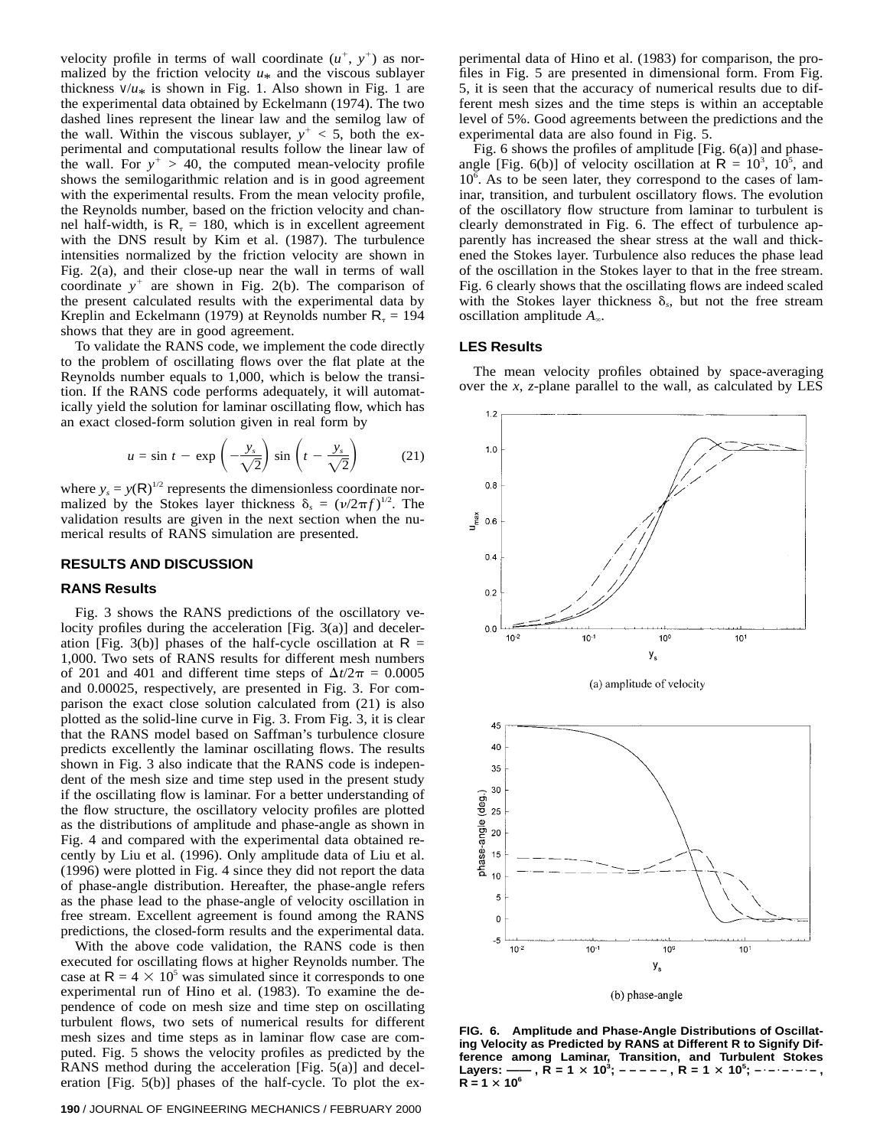velocity profile in terms of wall coordinate  $(u^+, y^+)$  as normalized by the friction velocity  $u_*$  and the viscous sublayer thickness  $v/u_*$  is shown in Fig. 1. Also shown in Fig. 1 are the experimental data obtained by Eckelmann (1974). The two dashed lines represent the linear law and the semilog law of the wall. Within the viscous sublayer,  $y^+ < 5$ , both the experimental and computational results follow the linear law of the wall. For  $y^+ > 40$ , the computed mean-velocity profile shows the semilogarithmic relation and is in good agreement with the experimental results. From the mean velocity profile, the Reynolds number, based on the friction velocity and channel half-width, is  $R<sub>r</sub> = 180$ , which is in excellent agreement with the DNS result by Kim et al. (1987). The turbulence intensities normalized by the friction velocity are shown in Fig. 2(a), and their close-up near the wall in terms of wall coordinate  $y^+$  are shown in Fig. 2(b). The comparison of the present calculated results with the experimental data by Kreplin and Eckelmann (1979) at Reynolds number  $R_7 = 194$ shows that they are in good agreement.

To validate the RANS code, we implement the code directly to the problem of oscillating flows over the flat plate at the Reynolds number equals to 1,000, which is below the transition. If the RANS code performs adequately, it will automatically yield the solution for laminar oscillating flow, which has an exact closed-form solution given in real form by

$$
u = \sin t - \exp\left(-\frac{y_s}{\sqrt{2}}\right)\sin\left(t - \frac{y_s}{\sqrt{2}}\right) \tag{21}
$$

where  $y_s = y(R)^{1/2}$  represents the dimensionless coordinate normalized by the Stokes layer thickness  $\delta_s = (\nu/2\pi f)^{1/2}$ . The validation results are given in the next section when the numerical results of RANS simulation are presented.

#### **RESULTS AND DISCUSSION**

#### **RANS Results**

Fig. 3 shows the RANS predictions of the oscillatory velocity profiles during the acceleration [Fig. 3(a)] and deceleration [Fig. 3(b)] phases of the half-cycle oscillation at  $R =$ 1,000. Two sets of RANS results for different mesh numbers of 201 and 401 and different time steps of  $\Delta t/2\pi = 0.0005$ and 0.00025, respectively, are presented in Fig. 3. For comparison the exact close solution calculated from (21) is also plotted as the solid-line curve in Fig. 3. From Fig. 3, it is clear that the RANS model based on Saffman's turbulence closure predicts excellently the laminar oscillating flows. The results shown in Fig. 3 also indicate that the RANS code is independent of the mesh size and time step used in the present study if the oscillating flow is laminar. For a better understanding of the flow structure, the oscillatory velocity profiles are plotted as the distributions of amplitude and phase-angle as shown in Fig. 4 and compared with the experimental data obtained recently by Liu et al. (1996). Only amplitude data of Liu et al. (1996) were plotted in Fig. 4 since they did not report the data of phase-angle distribution. Hereafter, the phase-angle refers as the phase lead to the phase-angle of velocity oscillation in free stream. Excellent agreement is found among the RANS predictions, the closed-form results and the experimental data.

With the above code validation, the RANS code is then executed for oscillating flows at higher Reynolds number. The case at  $R = 4 \times 10^5$  was simulated since it corresponds to one experimental run of Hino et al. (1983). To examine the dependence of code on mesh size and time step on oscillating turbulent flows, two sets of numerical results for different mesh sizes and time steps as in laminar flow case are computed. Fig. 5 shows the velocity profiles as predicted by the RANS method during the acceleration [Fig. 5(a)] and deceleration [Fig. 5(b)] phases of the half-cycle. To plot the experimental data of Hino et al. (1983) for comparison, the profiles in Fig. 5 are presented in dimensional form. From Fig. 5, it is seen that the accuracy of numerical results due to different mesh sizes and the time steps is within an acceptable level of 5%. Good agreements between the predictions and the experimental data are also found in Fig. 5.

Fig. 6 shows the profiles of amplitude [Fig. 6(a)] and phaseangle [Fig. 6(b)] of velocity oscillation at  $\mathbf{R} = 10^3$ ,  $10^5$ , and  $10^6$ . As to be seen later, they correspond to the cases of laminar, transition, and turbulent oscillatory flows. The evolution of the oscillatory flow structure from laminar to turbulent is clearly demonstrated in Fig. 6. The effect of turbulence apparently has increased the shear stress at the wall and thickened the Stokes layer. Turbulence also reduces the phase lead of the oscillation in the Stokes layer to that in the free stream. Fig. 6 clearly shows that the oscillating flows are indeed scaled with the Stokes layer thickness  $\delta_s$ , but not the free stream oscillation amplitude *A*`.

#### **LES Results**

The mean velocity profiles obtained by space-averaging over the *x*, *z*-plane parallel to the wall, as calculated by LES



**FIG. 6. Amplitude and Phase-Angle Distributions of Oscillating Velocity as Predicted by RANS at Different R to Signify Difference among Laminar, Transition, and Turbulent Stokes Layers: —— ,**  $\overline{R} = 1 \times 10^3$ **; ————– ,**  $\overline{R} = 1 \times 10^5$ **; ———————,**  $R = 1 \times 10^6$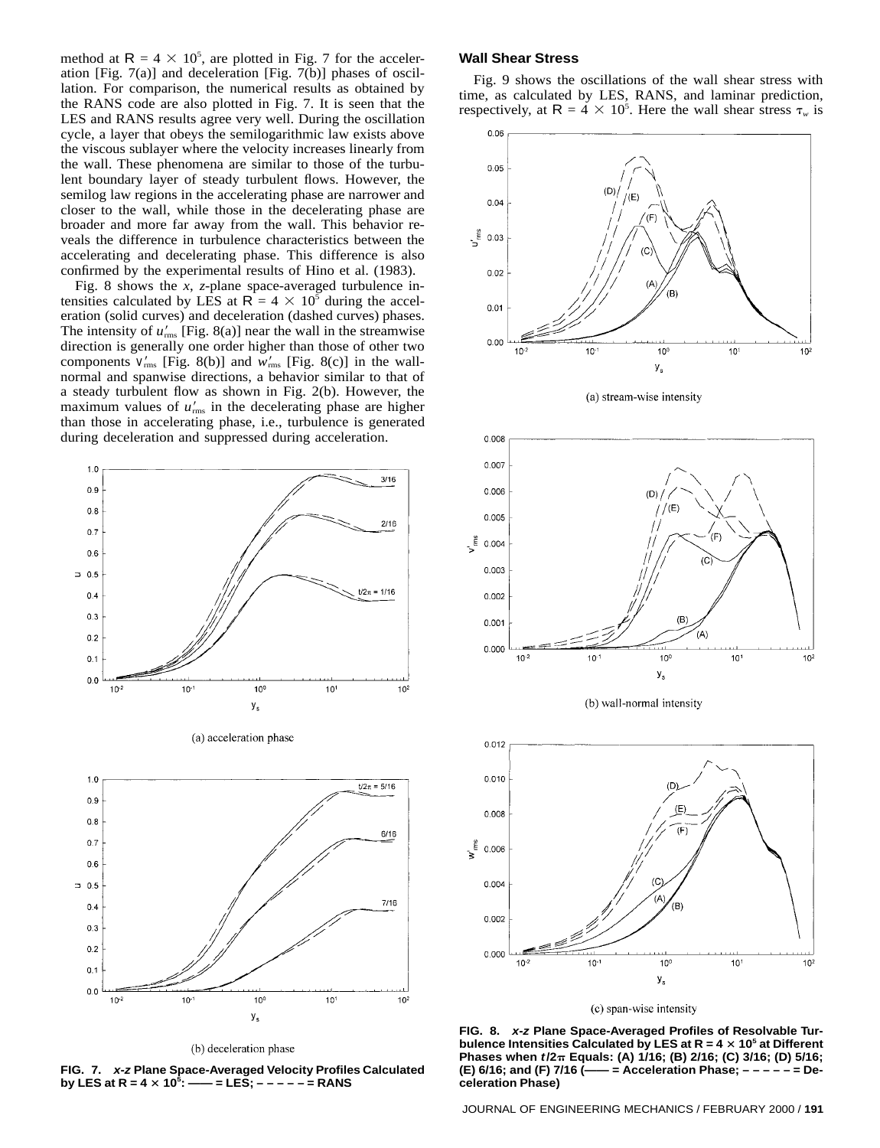method at  $R = 4 \times 10^5$ , are plotted in Fig. 7 for the acceleration [Fig. 7(a)] and deceleration [Fig. 7(b)] phases of oscillation. For comparison, the numerical results as obtained by the RANS code are also plotted in Fig. 7. It is seen that the LES and RANS results agree very well. During the oscillation cycle, a layer that obeys the semilogarithmic law exists above the viscous sublayer where the velocity increases linearly from the wall. These phenomena are similar to those of the turbulent boundary layer of steady turbulent flows. However, the semilog law regions in the accelerating phase are narrower and closer to the wall, while those in the decelerating phase are broader and more far away from the wall. This behavior reveals the difference in turbulence characteristics between the accelerating and decelerating phase. This difference is also confirmed by the experimental results of Hino et al. (1983).

Fig. 8 shows the *x*, *z*-plane space-averaged turbulence intensities calculated by LES at  $R = 4 \times 10^5$  during the acceleration (solid curves) and deceleration (dashed curves) phases. The intensity of  $u'_{\text{rms}}$  [Fig. 8(a)] near the wall in the streamwise direction is generally one order higher than those of other two components  $v_{\text{rms}}'$  [Fig. 8(b)] and  $w_{\text{rms}}'$  [Fig. 8(c)] in the wallnormal and spanwise directions, a behavior similar to that of a steady turbulent flow as shown in Fig. 2(b). However, the maximum values of  $u'_{\text{rms}}$  in the decelerating phase are higher than those in accelerating phase, i.e., turbulence is generated during deceleration and suppressed during acceleration.





**FIG. 7. x-z Plane Space-Averaged Velocity Profiles Calculated by LES at R = 4** 3 **105 : —— = LES; – – – – – = RANS**

## **Wall Shear Stress**

Fig. 9 shows the oscillations of the wall shear stress with time, as calculated by LES, RANS, and laminar prediction, respectively, at R =  $4 \times 10^5$ . Here the wall shear stress  $\tau_w$  is







(b) wall-normal intensity





**FIG. 8. x-z Plane Space-Averaged Profiles of Resolvable Turbulence Intensities Calculated by LES at R =**  $4 \times 10^5$  **at Different Phases when t/2**p **Equals: (A) 1/16; (B) 2/16; (C) 3/16; (D) 5/16; (E) 6/16; and (F) 7/16 (—— = Acceleration Phase; – – – – – = Deceleration Phase)**

JOURNAL OF ENGINEERING MECHANICS / FEBRUARY 2000 / **191**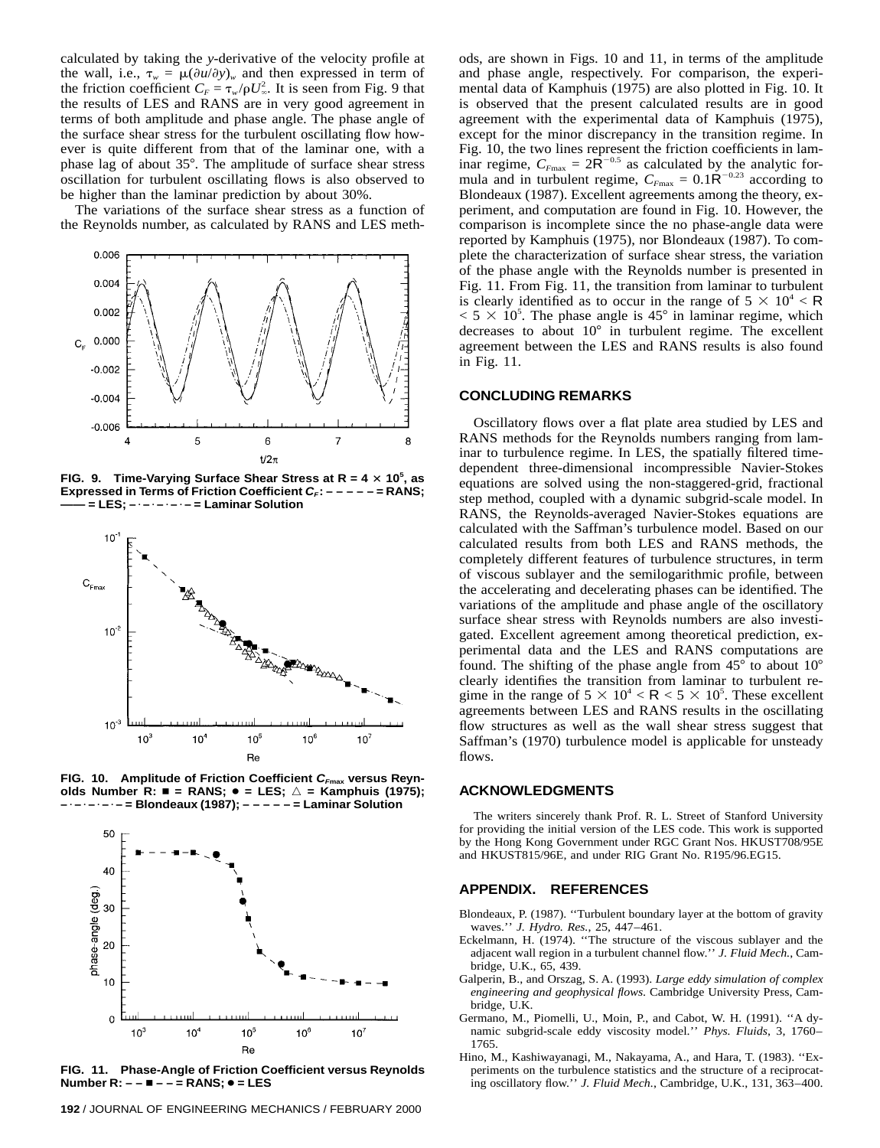calculated by taking the *y*-derivative of the velocity profile at the wall, i.e.,  $\tau_w = \mu(\partial u/\partial y)_w$  and then expressed in term of the friction coefficient  $C_F = \tau_w / \rho U_\infty^2$ . It is seen from Fig. 9 that the results of LES and RANS are in very good agreement in terms of both amplitude and phase angle. The phase angle of the surface shear stress for the turbulent oscillating flow however is quite different from that of the laminar one, with a phase lag of about  $35^\circ$ . The amplitude of surface shear stress oscillation for turbulent oscillating flows is also observed to be higher than the laminar prediction by about 30%.

The variations of the surface shear stress as a function of the Reynolds number, as calculated by RANS and LES meth-



**FIG. 9. Time-Varying Surface Shear Stress at R =**  $4 \times 10^5$ **, as Expressed in Terms of Friction Coefficient**  $C_F$ **:**  $- - - - - =$  **RANS; —— = LES; –**?**–**?**–**?**–**?**– = Laminar Solution**



FIG. 10. Amplitude of Friction Coefficient C<sub>Fmax</sub> versus Reynolds Number R: ■ = RANS;  $\bullet$  = LES;  $\triangle$  = Kamphuis (1975); **–**?**–**?**–**?**–**?**– = Blondeaux (1987); – – – – – = Laminar Solution**



**FIG. 11. Phase-Angle of Friction Coefficient versus Reynolds Number R: – – ■ – – = RANS; ● = LES** 

ods, are shown in Figs. 10 and 11, in terms of the amplitude and phase angle, respectively. For comparison, the experimental data of Kamphuis (1975) are also plotted in Fig. 10. It is observed that the present calculated results are in good agreement with the experimental data of Kamphuis (1975), except for the minor discrepancy in the transition regime. In Fig. 10, the two lines represent the friction coefficients in laminar regime,  $C_{F_{\text{max}}} = 2\hat{\mathsf{R}}^{-0.5}$  as calculated by the analytic formula and in turbulent regime,  $C_{Fmax} = 0.1 \text{R}^{-0.23}$  according to Blondeaux (1987). Excellent agreements among the theory, experiment, and computation are found in Fig. 10. However, the comparison is incomplete since the no phase-angle data were reported by Kamphuis (1975), nor Blondeaux (1987). To complete the characterization of surface shear stress, the variation of the phase angle with the Reynolds number is presented in Fig. 11. From Fig. 11, the transition from laminar to turbulent is clearly identified as to occur in the range of  $5 \times 10^4$  < R  $< 5 \times 10^5$ . The phase angle is 45° in laminar regime, which decreases to about  $10^{\circ}$  in turbulent regime. The excellent agreement between the LES and RANS results is also found in Fig. 11.

#### **CONCLUDING REMARKS**

Oscillatory flows over a flat plate area studied by LES and RANS methods for the Reynolds numbers ranging from laminar to turbulence regime. In LES, the spatially filtered timedependent three-dimensional incompressible Navier-Stokes equations are solved using the non-staggered-grid, fractional step method, coupled with a dynamic subgrid-scale model. In RANS, the Reynolds-averaged Navier-Stokes equations are calculated with the Saffman's turbulence model. Based on our calculated results from both LES and RANS methods, the completely different features of turbulence structures, in term of viscous sublayer and the semilogarithmic profile, between the accelerating and decelerating phases can be identified. The variations of the amplitude and phase angle of the oscillatory surface shear stress with Reynolds numbers are also investigated. Excellent agreement among theoretical prediction, experimental data and the LES and RANS computations are found. The shifting of the phase angle from  $45^{\circ}$  to about  $10^{\circ}$ clearly identifies the transition from laminar to turbulent regime in the range of  $5 \times 10^4 < R < 5 \times 10^5$ . These excellent agreements between LES and RANS results in the oscillating flow structures as well as the wall shear stress suggest that Saffman's (1970) turbulence model is applicable for unsteady flows.

### **ACKNOWLEDGMENTS**

The writers sincerely thank Prof. R. L. Street of Stanford University for providing the initial version of the LES code. This work is supported by the Hong Kong Government under RGC Grant Nos. HKUST708/95E and HKUST815/96E, and under RIG Grant No. R195/96.EG15.

## **APPENDIX. REFERENCES**

- Blondeaux, P. (1987). ''Turbulent boundary layer at the bottom of gravity waves.'' *J. Hydro. Res.*, 25, 447–461.
- Eckelmann, H. (1974). ''The structure of the viscous sublayer and the adjacent wall region in a turbulent channel flow.'' *J. Fluid Mech.*, Cambridge, U.K., 65, 439.
- Galperin, B., and Orszag, S. A. (1993). *Large eddy simulation of complex engineering and geophysical flows*. Cambridge University Press, Cambridge, U.K.
- Germano, M., Piomelli, U., Moin, P., and Cabot, W. H. (1991). ''A dynamic subgrid-scale eddy viscosity model.'' *Phys. Fluids*, 3, 1760– 1765.
- Hino, M., Kashiwayanagi, M., Nakayama, A., and Hara, T. (1983). ''Experiments on the turbulence statistics and the structure of a reciprocating oscillatory flow.'' *J. Fluid Mech.*, Cambridge, U.K., 131, 363–400.

**192** / JOURNAL OF ENGINEERING MECHANICS / FEBRUARY 2000